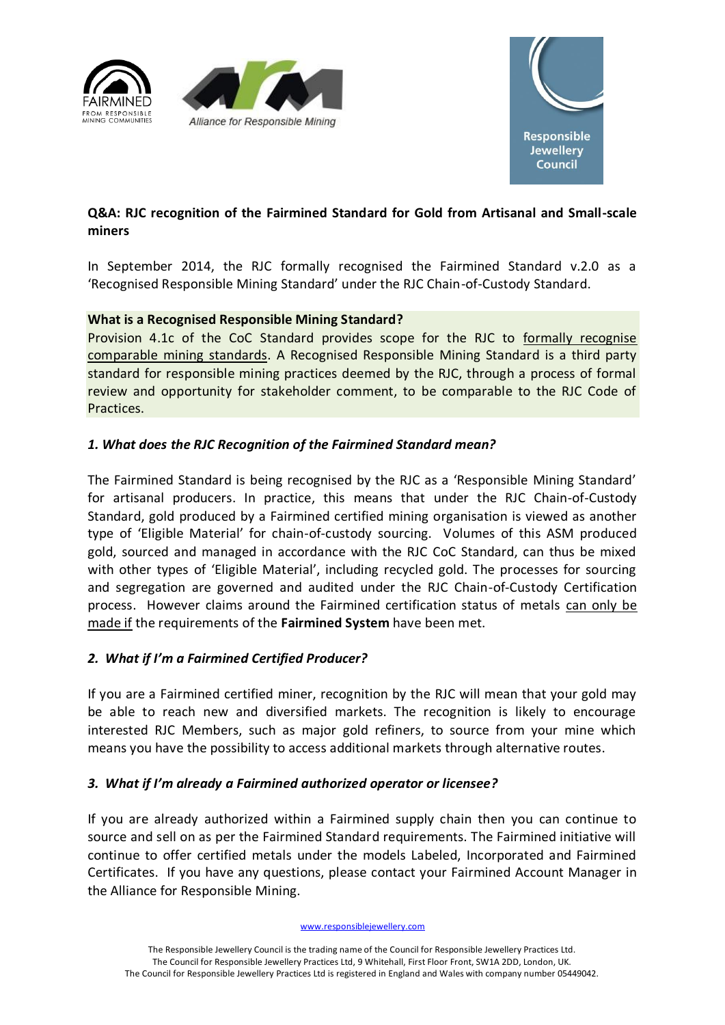





# **Q&A: RJC recognition of the Fairmined Standard for Gold from Artisanal and Small-scale miners**

In September 2014, the RJC formally recognised the Fairmined Standard v.2.0 as a 'Recognised Responsible Mining Standard' under the RJC Chain-of-Custody Standard.

## **What is a Recognised Responsible Mining Standard?**

Provision 4.1c of the CoC Standard provides scope for the RJC to formally recognise comparable mining standards. A Recognised Responsible Mining Standard is a third party standard for responsible mining practices deemed by the RJC, through a process of formal review and opportunity for stakeholder comment, to be comparable to the RJC Code of Practices.

# *1. What does the RJC Recognition of the Fairmined Standard mean?*

The Fairmined Standard is being recognised by the RJC as a 'Responsible Mining Standard' for artisanal producers. In practice, this means that under the RJC Chain-of-Custody Standard, gold produced by a Fairmined certified mining organisation is viewed as another type of 'Eligible Material' for chain-of-custody sourcing. Volumes of this ASM produced gold, sourced and managed in accordance with the RJC CoC Standard, can thus be mixed with other types of 'Eligible Material', including recycled gold. The processes for sourcing and segregation are governed and audited under the RJC Chain-of-Custody Certification process. However claims around the Fairmined certification status of metals can only be made if the requirements of the **Fairmined System** have been met.

## *2. What if I'm a Fairmined Certified Producer?*

If you are a Fairmined certified miner, recognition by the RJC will mean that your gold may be able to reach new and diversified markets. The recognition is likely to encourage interested RJC Members, such as major gold refiners, to source from your mine which means you have the possibility to access additional markets through alternative routes.

## *3. What if I'm already a Fairmined authorized operator or licensee?*

If you are already authorized within a Fairmined supply chain then you can continue to source and sell on as per the Fairmined Standard requirements. The Fairmined initiative will continue to offer certified metals under the models Labeled, Incorporated and Fairmined Certificates. If you have any questions, please contact your Fairmined Account Manager in the Alliance for Responsible Mining.

#### www.responsiblejewellery.com